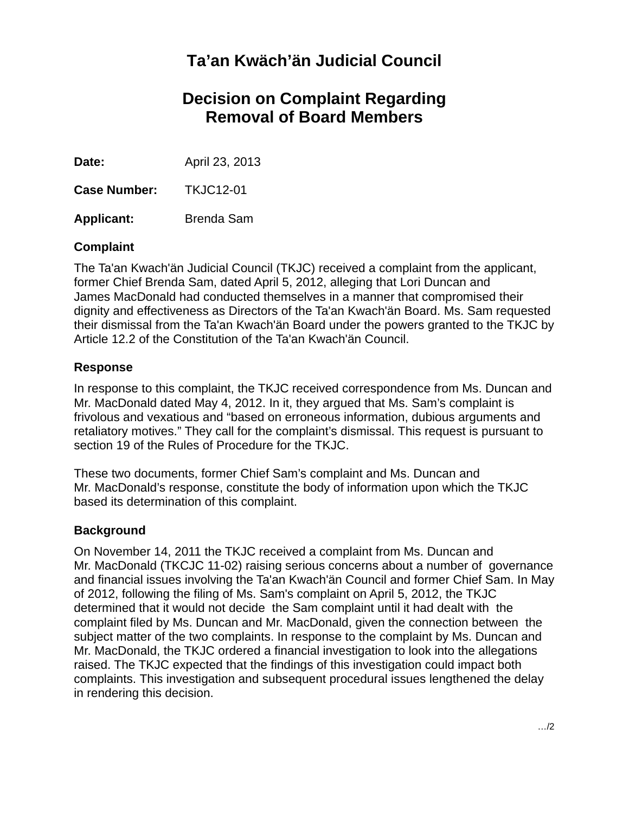# **Ta'an Kwäch'än Judicial Council**

## **Decision on Complaint Regarding Removal of Board Members**

**Date:** April 23, 2013

**Case Number:** TKJC12-01

**Applicant:** Brenda Sam

### **Complaint**

The Ta'an Kwach'än Judicial Council (TKJC) received a complaint from the applicant, former Chief Brenda Sam, dated April 5, 2012, alleging that Lori Duncan and James MacDonald had conducted themselves in a manner that compromised their dignity and effectiveness as Directors of the Ta'an Kwach'än Board. Ms. Sam requested their dismissal from the Ta'an Kwach'än Board under the powers granted to the TKJC by Article 12.2 of the Constitution of the Ta'an Kwach'än Council.

### **Response**

In response to this complaint, the TKJC received correspondence from Ms. Duncan and Mr. MacDonald dated May 4, 2012. In it, they argued that Ms. Sam's complaint is frivolous and vexatious and "based on erroneous information, dubious arguments and retaliatory motives." They call for the complaint's dismissal. This request is pursuant to section 19 of the Rules of Procedure for the TKJC.

These two documents, former Chief Sam's complaint and Ms. Duncan and Mr. MacDonald's response, constitute the body of information upon which the TKJC based its determination of this complaint.

### **Background**

On November 14, 2011 the TKJC received a complaint from Ms. Duncan and Mr. MacDonald (TKCJC 11-02) raising serious concerns about a number of governance and financial issues involving the Ta'an Kwach'än Council and former Chief Sam. In May of 2012, following the filing of Ms. Sam's complaint on April 5, 2012, the TKJC determined that it would not decide the Sam complaint until it had dealt with the complaint filed by Ms. Duncan and Mr. MacDonald, given the connection between the subject matter of the two complaints. In response to the complaint by Ms. Duncan and Mr. MacDonald, the TKJC ordered a financial investigation to look into the allegations raised. The TKJC expected that the findings of this investigation could impact both complaints. This investigation and subsequent procedural issues lengthened the delay in rendering this decision.